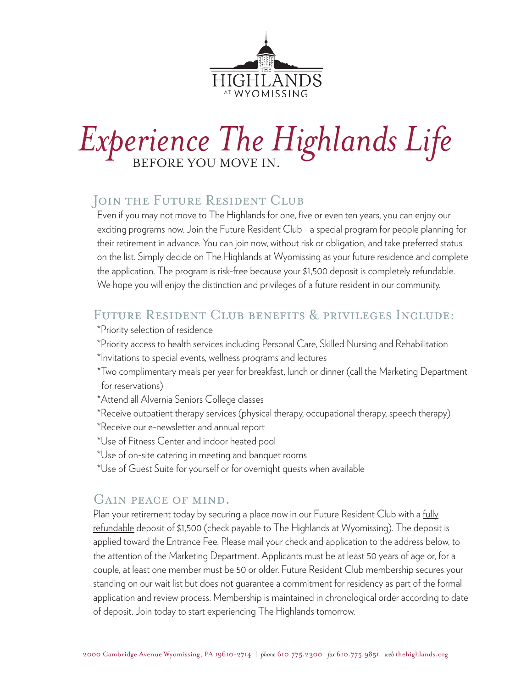

# Experience The Highlands Life

### JOIN THE FUTURE RESIDENT CLUB

Even if you may not move to The Highlands for one, five or even ten years, you can enjoy our exciting programs now. Join the Future Resident Club - a special program for people planning for their retirement in advance. You can join now, without risk or obligation, and take preferred status on the list. Simply decide on The Highlands at Wyomissing as your future residence and complete the application. The program is risk-free because your \$1,500 deposit is completely refundable. We hope you will enjoy the distinction and privileges of a future resident in our community.

#### Future Resident Club benefits & privileges Include:

- \*Priority selection of residence
- \*Priority access to health services including Personal Care, Skilled Nursing and Rehabilitation
- \*Invitations to special events, wellness programs and lectures
- \*Two complimentary meals per year for breakfast, lunch or dinner (call the Marketing Department for reservations)
- \*Attend all Alvernia Seniors College classes
- \*Receive outpatient therapy services (physical therapy, occupational therapy, speech therapy)
- \*Receive our e-newsletter and annual report
- \*Use of Fitness Center and indoor heated pool
- \*Use of on-site catering in meeting and banquet rooms
- \*Use of Guest Suite for yourself or for overnight guests when available

#### Gain peace of mind.

Plan your retirement today by securing a place now in our Future Resident Club with a fully refundable deposit of \$1,500 (check payable to The Highlands at Wyomissing). The deposit is applied toward the Entrance Fee. Please mail your check and application to the address below, to the attention of the Marketing Department. Applicants must be at least 50 years of age or, for a couple, at least one member must be 50 or older. Future Resident Club membership secures your standing on our wait list but does not guarantee a commitment for residency as part of the formal application and review process. Membership is maintained in chronological order according to date of deposit. Join today to start experiencing The Highlands tomorrow.